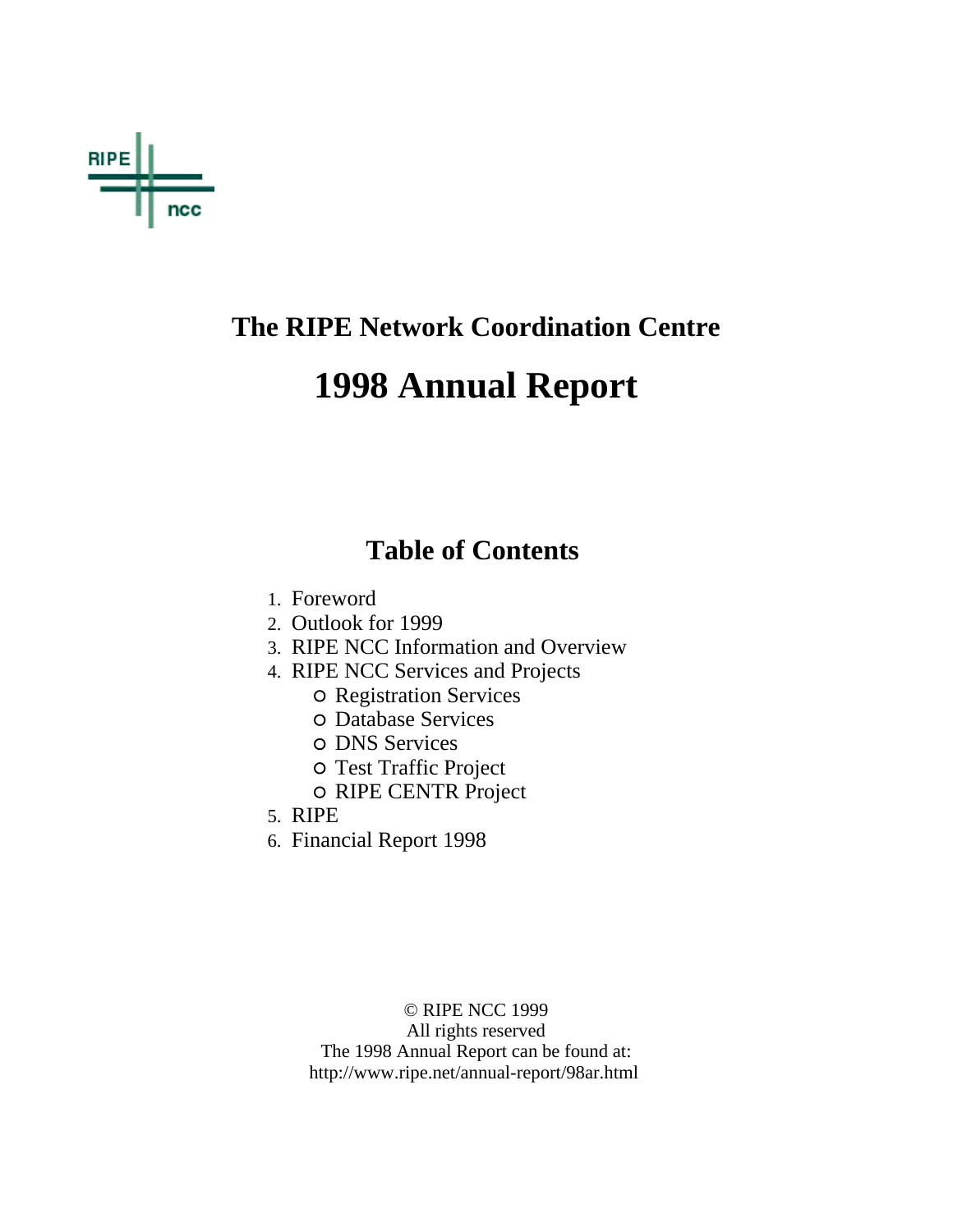

### **The RIPE Network Coordination Centre**

# **1998 Annual Report**

### **Table of Contents**

- 1. Foreword
- 2. Outlook for 1999
- 3. RIPE NCC Information and Overview
- 4. RIPE NCC Services and Projects
	- Registration Services
	- Database Services
	- o DNS Services
	- Test Traffic Project
	- o RIPE CENTR Project
- 5. RIPE
- 6. Financial Report 1998

© RIPE NCC 1999 All rights reserved The 1998 Annual Report can be found at: http://www.ripe.net/annual-report/98ar.html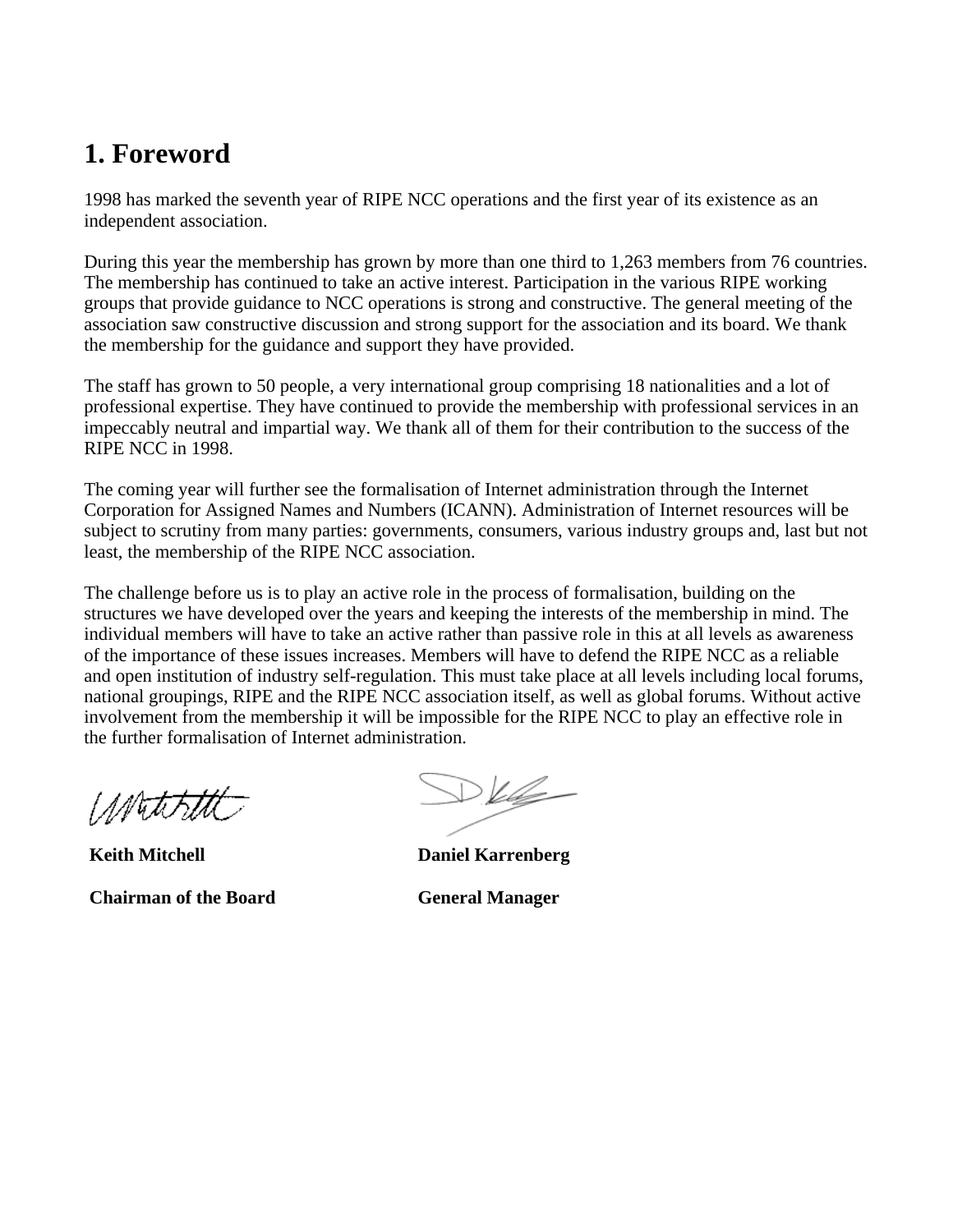### **1. Foreword**

1998 has marked the seventh year of RIPE NCC operations and the first year of its existence as an independent association.

During this year the membership has grown by more than one third to 1,263 members from 76 countries. The membership has continued to take an active interest. Participation in the various RIPE working groups that provide guidance to NCC operations is strong and constructive. The general meeting of the association saw constructive discussion and strong support for the association and its board. We thank the membership for the guidance and support they have provided.

The staff has grown to 50 people, a very international group comprising 18 nationalities and a lot of professional expertise. They have continued to provide the membership with professional services in an impeccably neutral and impartial way. We thank all of them for their contribution to the success of the RIPE NCC in 1998.

The coming year will further see the formalisation of Internet administration through the Internet Corporation for Assigned Names and Numbers (ICANN). Administration of Internet resources will be subject to scrutiny from many parties: governments, consumers, various industry groups and, last but not least, the membership of the RIPE NCC association.

The challenge before us is to play an active role in the process of formalisation, building on the structures we have developed over the years and keeping the interests of the membership in mind. The individual members will have to take an active rather than passive role in this at all levels as awareness of the importance of these issues increases. Members will have to defend the RIPE NCC as a reliable and open institution of industry self-regulation. This must take place at all levels including local forums, national groupings, RIPE and the RIPE NCC association itself, as well as global forums. Without active involvement from the membership it will be impossible for the RIPE NCC to play an effective role in the further formalisation of Internet administration.

1*M*utikitti

**Keith Mitchell** 

**Chairman of the Board**

 $DV$ 

**Daniel Karrenberg**

**General Manager**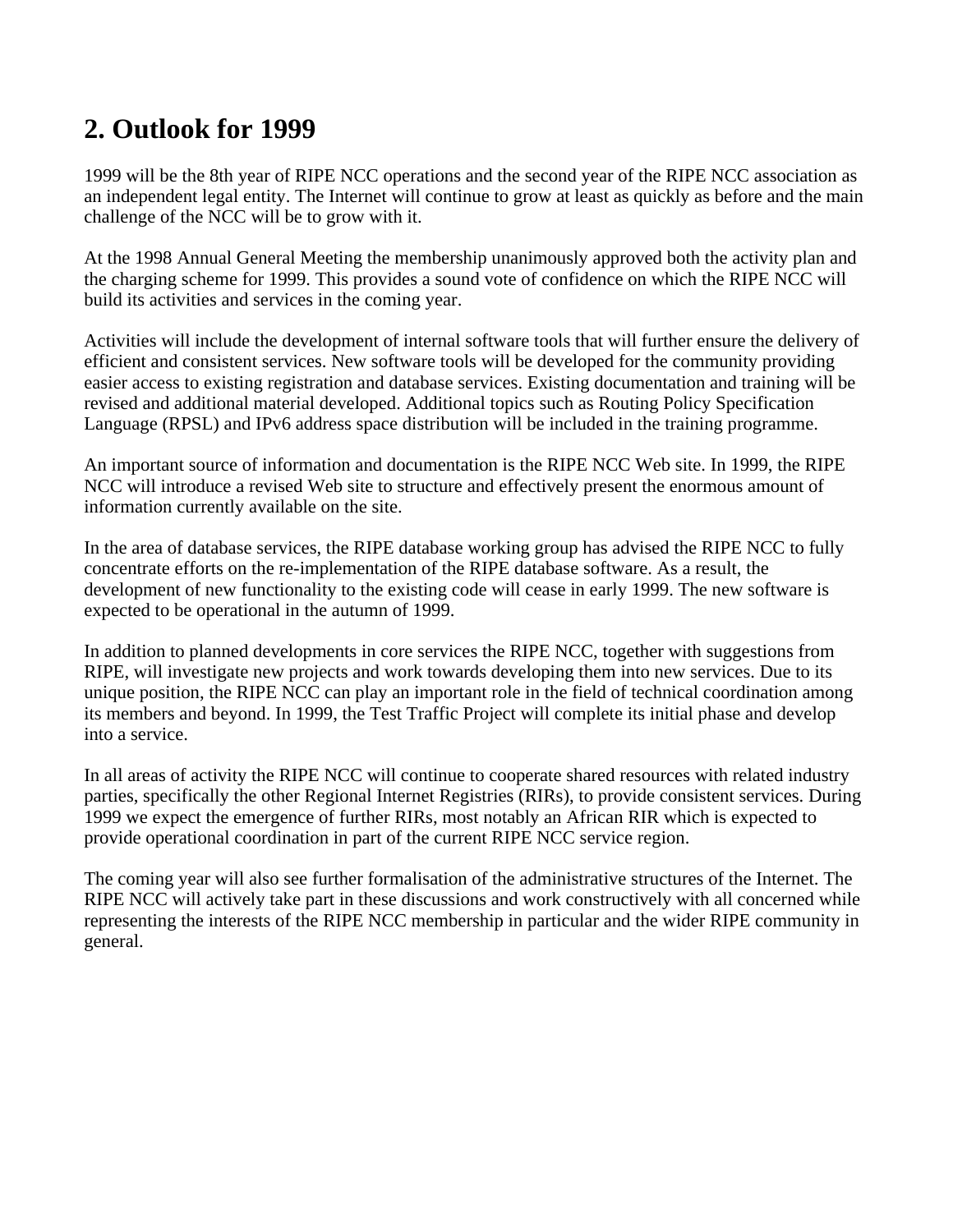### **2. Outlook for 1999**

1999 will be the 8th year of RIPE NCC operations and the second year of the RIPE NCC association as an independent legal entity. The Internet will continue to grow at least as quickly as before and the main challenge of the NCC will be to grow with it.

At the 1998 Annual General Meeting the membership unanimously approved both the activity plan and the charging scheme for 1999. This provides a sound vote of confidence on which the RIPE NCC will build its activities and services in the coming year.

Activities will include the development of internal software tools that will further ensure the delivery of efficient and consistent services. New software tools will be developed for the community providing easier access to existing registration and database services. Existing documentation and training will be revised and additional material developed. Additional topics such as Routing Policy Specification Language (RPSL) and IPv6 address space distribution will be included in the training programme.

An important source of information and documentation is the RIPE NCC Web site. In 1999, the RIPE NCC will introduce a revised Web site to structure and effectively present the enormous amount of information currently available on the site.

In the area of database services, the RIPE database working group has advised the RIPE NCC to fully concentrate efforts on the re-implementation of the RIPE database software. As a result, the development of new functionality to the existing code will cease in early 1999. The new software is expected to be operational in the autumn of 1999.

In addition to planned developments in core services the RIPE NCC, together with suggestions from RIPE, will investigate new projects and work towards developing them into new services. Due to its unique position, the RIPE NCC can play an important role in the field of technical coordination among its members and beyond. In 1999, the Test Traffic Project will complete its initial phase and develop into a service.

In all areas of activity the RIPE NCC will continue to cooperate shared resources with related industry parties, specifically the other Regional Internet Registries (RIRs), to provide consistent services. During 1999 we expect the emergence of further RIRs, most notably an African RIR which is expected to provide operational coordination in part of the current RIPE NCC service region.

The coming year will also see further formalisation of the administrative structures of the Internet. The RIPE NCC will actively take part in these discussions and work constructively with all concerned while representing the interests of the RIPE NCC membership in particular and the wider RIPE community in general.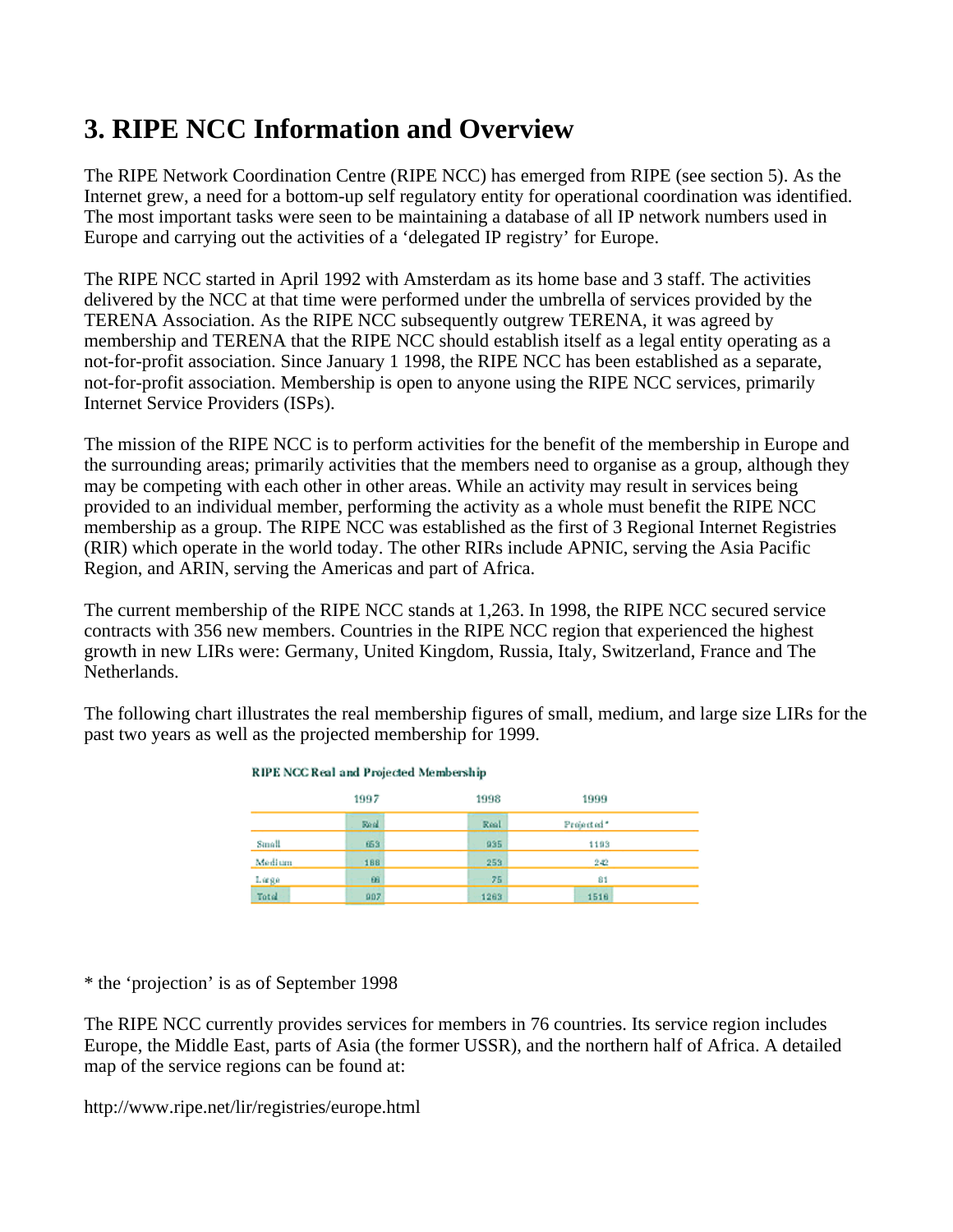## **3. RIPE NCC Information and Overview**

The RIPE Network Coordination Centre (RIPE NCC) has emerged from RIPE (see section 5). As the Internet grew, a need for a bottom-up self regulatory entity for operational coordination was identified. The most important tasks were seen to be maintaining a database of all IP network numbers used in Europe and carrying out the activities of a 'delegated IP registry' for Europe.

The RIPE NCC started in April 1992 with Amsterdam as its home base and 3 staff. The activities delivered by the NCC at that time were performed under the umbrella of services provided by the TERENA Association. As the RIPE NCC subsequently outgrew TERENA, it was agreed by membership and TERENA that the RIPE NCC should establish itself as a legal entity operating as a not-for-profit association. Since January 1 1998, the RIPE NCC has been established as a separate, not-for-profit association. Membership is open to anyone using the RIPE NCC services, primarily Internet Service Providers (ISPs).

The mission of the RIPE NCC is to perform activities for the benefit of the membership in Europe and the surrounding areas; primarily activities that the members need to organise as a group, although they may be competing with each other in other areas. While an activity may result in services being provided to an individual member, performing the activity as a whole must benefit the RIPE NCC membership as a group. The RIPE NCC was established as the first of 3 Regional Internet Registries (RIR) which operate in the world today. The other RIRs include APNIC, serving the Asia Pacific Region, and ARIN, serving the Americas and part of Africa.

The current membership of the RIPE NCC stands at 1,263. In 1998, the RIPE NCC secured service contracts with 356 new members. Countries in the RIPE NCC region that experienced the highest growth in new LIRs were: Germany, United Kingdom, Russia, Italy, Switzerland, France and The Netherlands.

The following chart illustrates the real membership figures of small, medium, and large size LIRs for the past two years as well as the projected membership for 1999.

| <b>RIPE NCC Real and Projected Membership</b> |          |      |            |  |  |  |
|-----------------------------------------------|----------|------|------------|--|--|--|
|                                               | 1997     | 1998 | 1999       |  |  |  |
|                                               | Real     | Real | Projected* |  |  |  |
| Small                                         | 653      | 935  | 1193       |  |  |  |
| Medium                                        | 188      | 253  | 242        |  |  |  |
| Læge                                          | $\Omega$ | 75   | 81         |  |  |  |
| Total                                         | 997      | 1263 | 1518       |  |  |  |

\* the 'projection' is as of September 1998

The RIPE NCC currently provides services for members in 76 countries. Its service region includes Europe, the Middle East, parts of Asia (the former USSR), and the northern half of Africa. A detailed map of the service regions can be found at:

http://www.ripe.net/lir/registries/europe.html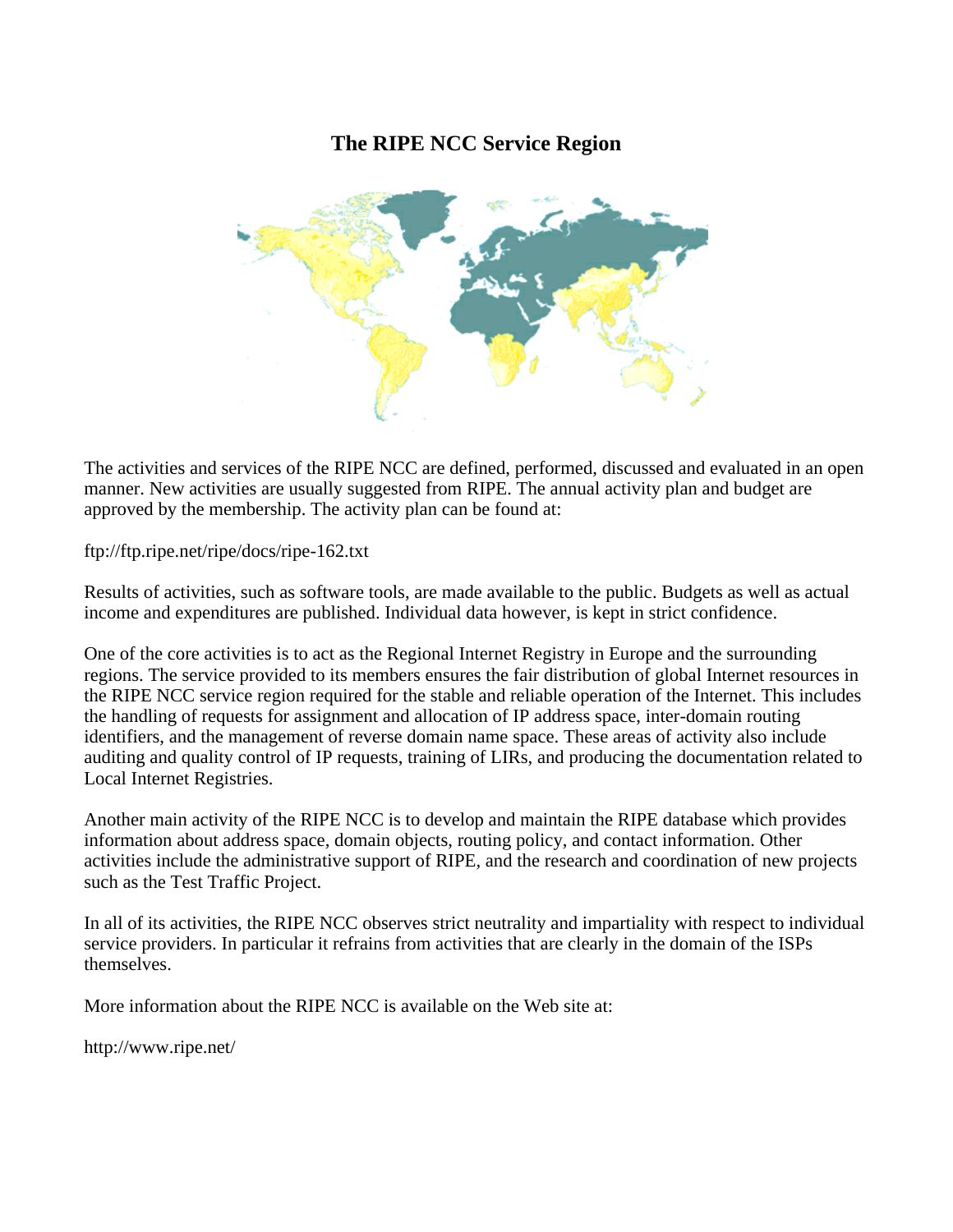### **The RIPE NCC Service Region**



The activities and services of the RIPE NCC are defined, performed, discussed and evaluated in an open manner. New activities are usually suggested from RIPE. The annual activity plan and budget are approved by the membership. The activity plan can be found at:

ftp://ftp.ripe.net/ripe/docs/ripe-162.txt

Results of activities, such as software tools, are made available to the public. Budgets as well as actual income and expenditures are published. Individual data however, is kept in strict confidence.

One of the core activities is to act as the Regional Internet Registry in Europe and the surrounding regions. The service provided to its members ensures the fair distribution of global Internet resources in the RIPE NCC service region required for the stable and reliable operation of the Internet. This includes the handling of requests for assignment and allocation of IP address space, inter-domain routing identifiers, and the management of reverse domain name space. These areas of activity also include auditing and quality control of IP requests, training of LIRs, and producing the documentation related to Local Internet Registries.

Another main activity of the RIPE NCC is to develop and maintain the RIPE database which provides information about address space, domain objects, routing policy, and contact information. Other activities include the administrative support of RIPE, and the research and coordination of new projects such as the Test Traffic Project.

In all of its activities, the RIPE NCC observes strict neutrality and impartiality with respect to individual service providers. In particular it refrains from activities that are clearly in the domain of the ISPs themselves.

More information about the RIPE NCC is available on the Web site at:

http://www.ripe.net/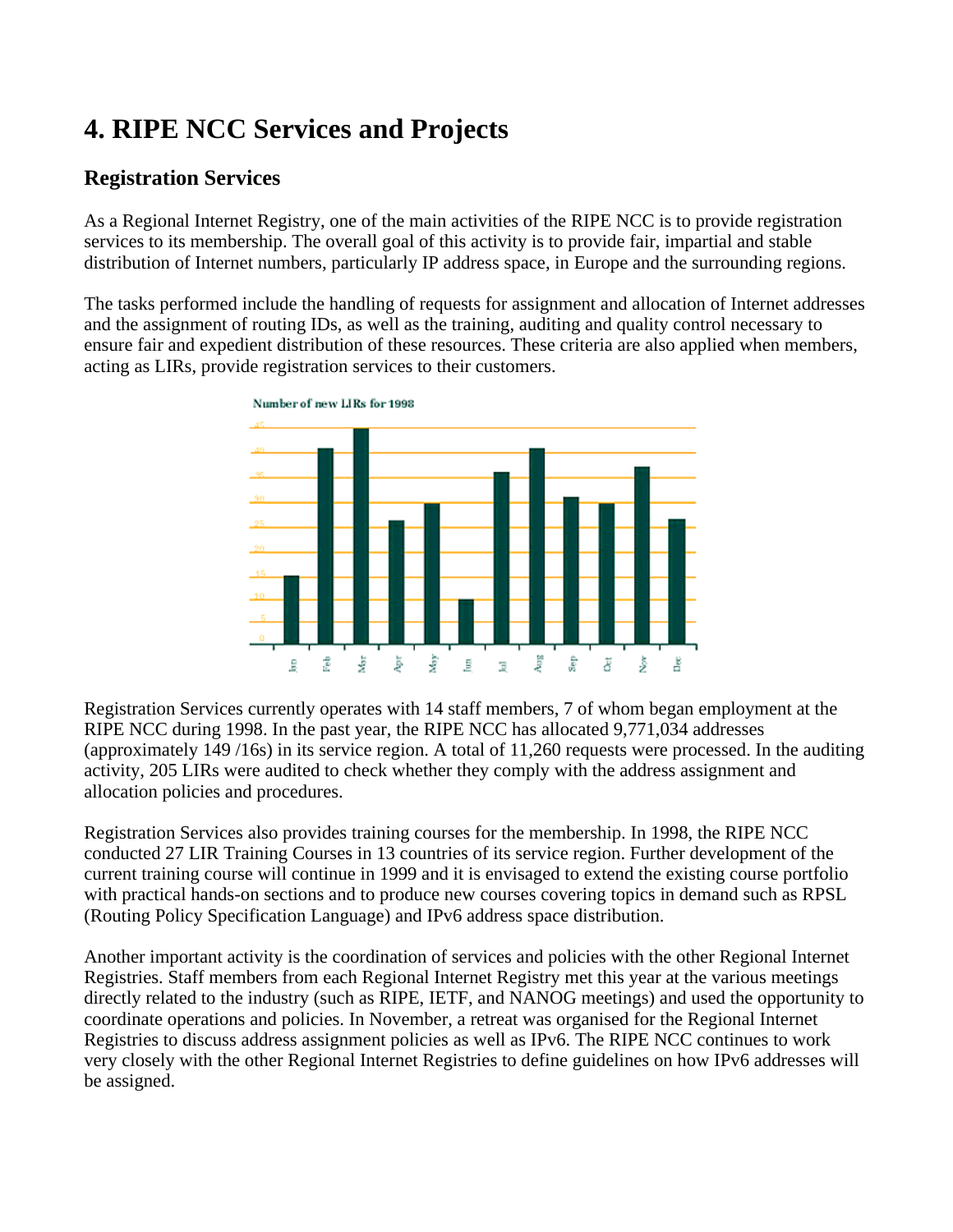# **4. RIPE NCC Services and Projects**

### **Registration Services**

As a Regional Internet Registry, one of the main activities of the RIPE NCC is to provide registration services to its membership. The overall goal of this activity is to provide fair, impartial and stable distribution of Internet numbers, particularly IP address space, in Europe and the surrounding regions.

The tasks performed include the handling of requests for assignment and allocation of Internet addresses and the assignment of routing IDs, as well as the training, auditing and quality control necessary to ensure fair and expedient distribution of these resources. These criteria are also applied when members, acting as LIRs, provide registration services to their customers.



Registration Services currently operates with 14 staff members, 7 of whom began employment at the RIPE NCC during 1998. In the past year, the RIPE NCC has allocated 9,771,034 addresses (approximately 149 /16s) in its service region. A total of 11,260 requests were processed. In the auditing activity, 205 LIRs were audited to check whether they comply with the address assignment and allocation policies and procedures.

Registration Services also provides training courses for the membership. In 1998, the RIPE NCC conducted 27 LIR Training Courses in 13 countries of its service region. Further development of the current training course will continue in 1999 and it is envisaged to extend the existing course portfolio with practical hands-on sections and to produce new courses covering topics in demand such as RPSL (Routing Policy Specification Language) and IPv6 address space distribution.

Another important activity is the coordination of services and policies with the other Regional Internet Registries. Staff members from each Regional Internet Registry met this year at the various meetings directly related to the industry (such as RIPE, IETF, and NANOG meetings) and used the opportunity to coordinate operations and policies. In November, a retreat was organised for the Regional Internet Registries to discuss address assignment policies as well as IPv6. The RIPE NCC continues to work very closely with the other Regional Internet Registries to define guidelines on how IPv6 addresses will be assigned.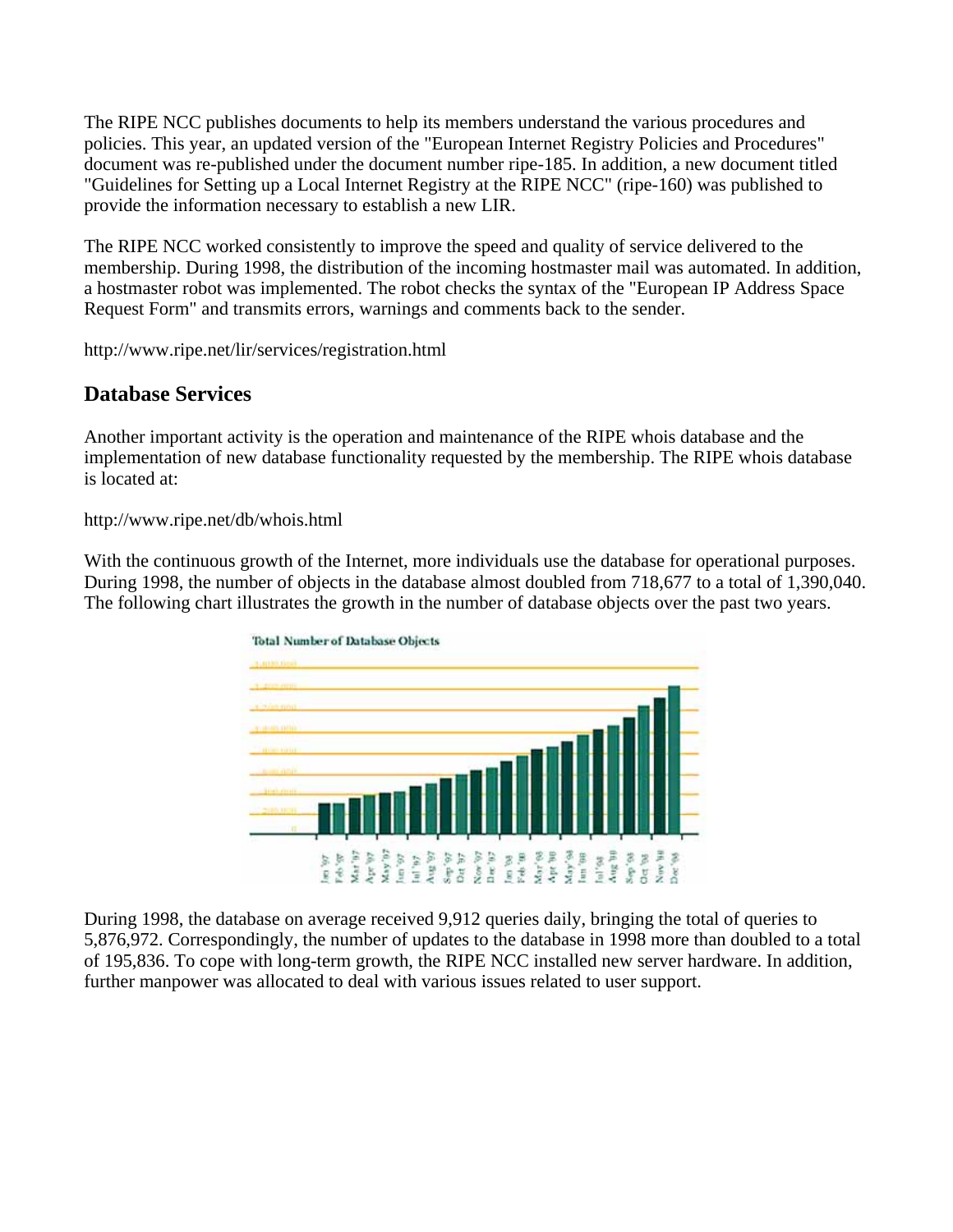The RIPE NCC publishes documents to help its members understand the various procedures and policies. This year, an updated version of the "European Internet Registry Policies and Procedures" document was re-published under the document number ripe-185. In addition, a new document titled "Guidelines for Setting up a Local Internet Registry at the RIPE NCC" (ripe-160) was published to provide the information necessary to establish a new LIR.

The RIPE NCC worked consistently to improve the speed and quality of service delivered to the membership. During 1998, the distribution of the incoming hostmaster mail was automated. In addition, a hostmaster robot was implemented. The robot checks the syntax of the "European IP Address Space Request Form" and transmits errors, warnings and comments back to the sender.

http://www.ripe.net/lir/services/registration.html

#### **Database Services**

Another important activity is the operation and maintenance of the RIPE whois database and the implementation of new database functionality requested by the membership. The RIPE whois database is located at:

http://www.ripe.net/db/whois.html

With the continuous growth of the Internet, more individuals use the database for operational purposes. During 1998, the number of objects in the database almost doubled from 718,677 to a total of 1,390,040. The following chart illustrates the growth in the number of database objects over the past two years.



During 1998, the database on average received 9,912 queries daily, bringing the total of queries to 5,876,972. Correspondingly, the number of updates to the database in 1998 more than doubled to a total of 195,836. To cope with long-term growth, the RIPE NCC installed new server hardware. In addition, further manpower was allocated to deal with various issues related to user support.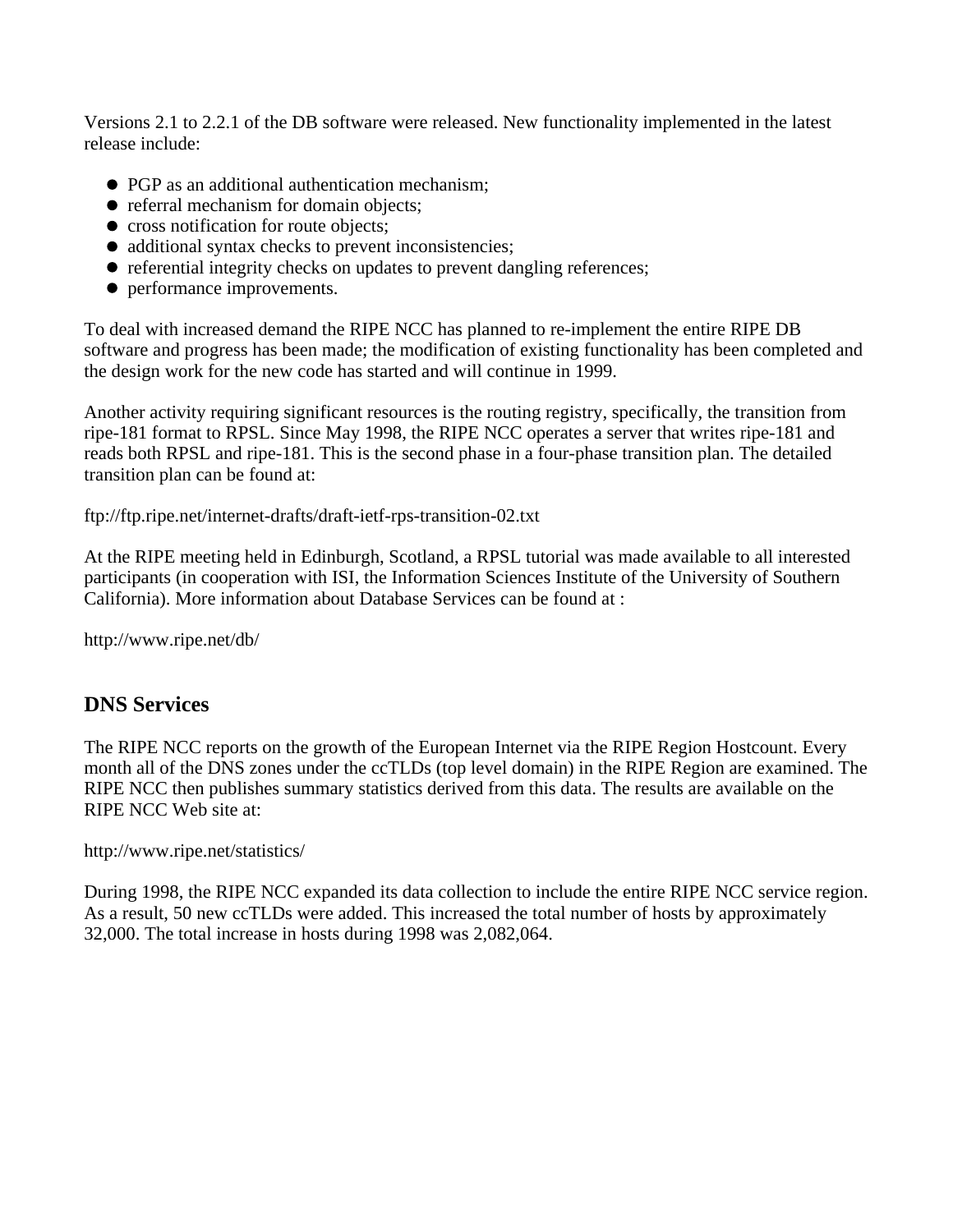Versions 2.1 to 2.2.1 of the DB software were released. New functionality implemented in the latest release include:

- PGP as an additional authentication mechanism:
- referral mechanism for domain objects;
- cross notification for route objects;
- additional syntax checks to prevent inconsistencies;
- referential integrity checks on updates to prevent dangling references;
- performance improvements.

To deal with increased demand the RIPE NCC has planned to re-implement the entire RIPE DB software and progress has been made; the modification of existing functionality has been completed and the design work for the new code has started and will continue in 1999.

Another activity requiring significant resources is the routing registry, specifically, the transition from ripe-181 format to RPSL. Since May 1998, the RIPE NCC operates a server that writes ripe-181 and reads both RPSL and ripe-181. This is the second phase in a four-phase transition plan. The detailed transition plan can be found at:

ftp://ftp.ripe.net/internet-drafts/draft-ietf-rps-transition-02.txt

At the RIPE meeting held in Edinburgh, Scotland, a RPSL tutorial was made available to all interested participants (in cooperation with ISI, the Information Sciences Institute of the University of Southern California). More information about Database Services can be found at :

http://www.ripe.net/db/

#### **DNS Services**

The RIPE NCC reports on the growth of the European Internet via the RIPE Region Hostcount. Every month all of the DNS zones under the ccTLDs (top level domain) in the RIPE Region are examined. The RIPE NCC then publishes summary statistics derived from this data. The results are available on the RIPE NCC Web site at:

http://www.ripe.net/statistics/

During 1998, the RIPE NCC expanded its data collection to include the entire RIPE NCC service region. As a result, 50 new ccTLDs were added. This increased the total number of hosts by approximately 32,000. The total increase in hosts during 1998 was 2,082,064.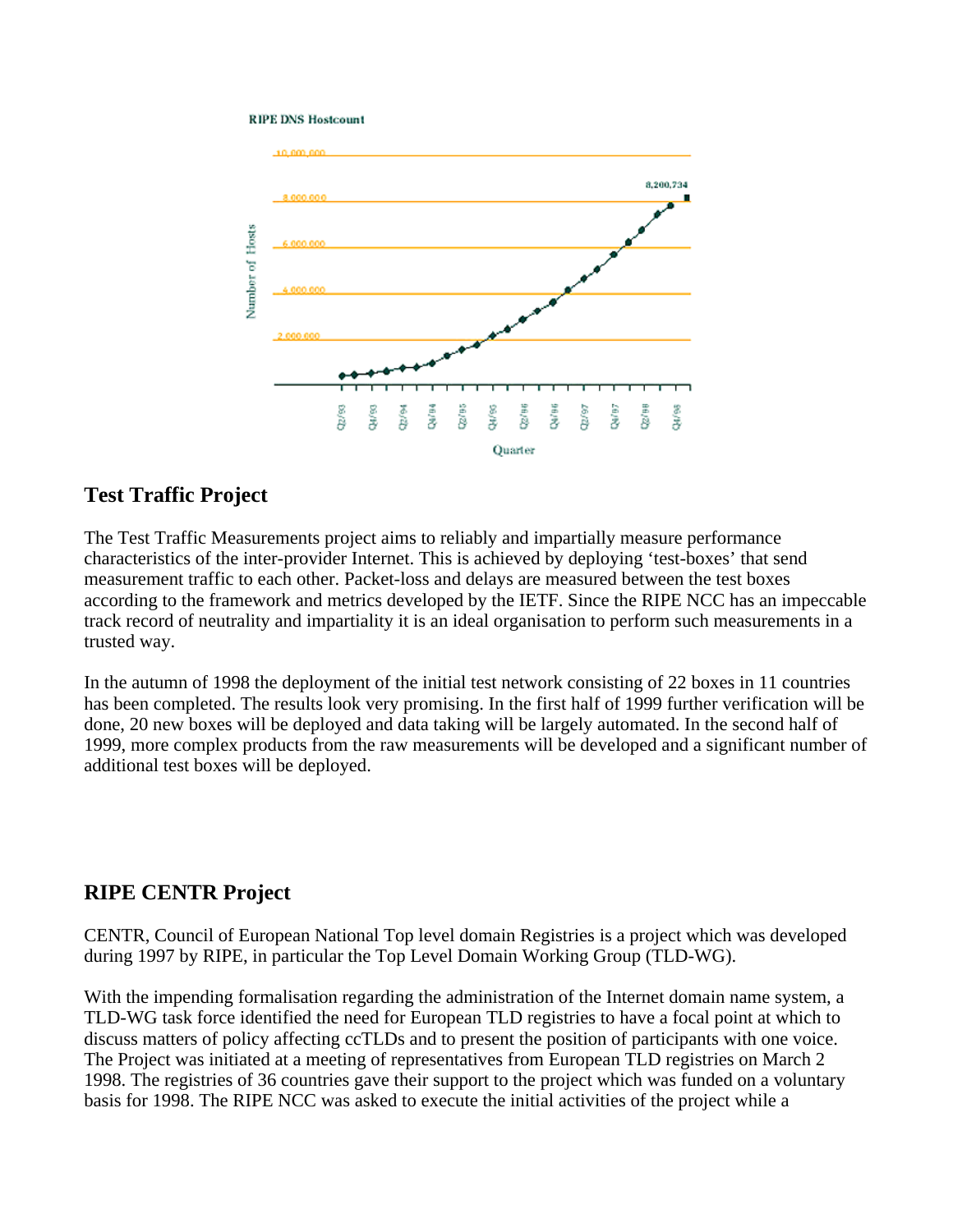#### **RIPE DNS Hostcount**



#### **Test Traffic Project**

The Test Traffic Measurements project aims to reliably and impartially measure performance characteristics of the inter-provider Internet. This is achieved by deploying 'test-boxes' that send measurement traffic to each other. Packet-loss and delays are measured between the test boxes according to the framework and metrics developed by the IETF. Since the RIPE NCC has an impeccable track record of neutrality and impartiality it is an ideal organisation to perform such measurements in a trusted way.

In the autumn of 1998 the deployment of the initial test network consisting of 22 boxes in 11 countries has been completed. The results look very promising. In the first half of 1999 further verification will be done, 20 new boxes will be deployed and data taking will be largely automated. In the second half of 1999, more complex products from the raw measurements will be developed and a significant number of additional test boxes will be deployed.

#### **RIPE CENTR Project**

CENTR, Council of European National Top level domain Registries is a project which was developed during 1997 by RIPE, in particular the Top Level Domain Working Group (TLD-WG).

With the impending formalisation regarding the administration of the Internet domain name system, a TLD-WG task force identified the need for European TLD registries to have a focal point at which to discuss matters of policy affecting ccTLDs and to present the position of participants with one voice. The Project was initiated at a meeting of representatives from European TLD registries on March 2 1998. The registries of 36 countries gave their support to the project which was funded on a voluntary basis for 1998. The RIPE NCC was asked to execute the initial activities of the project while a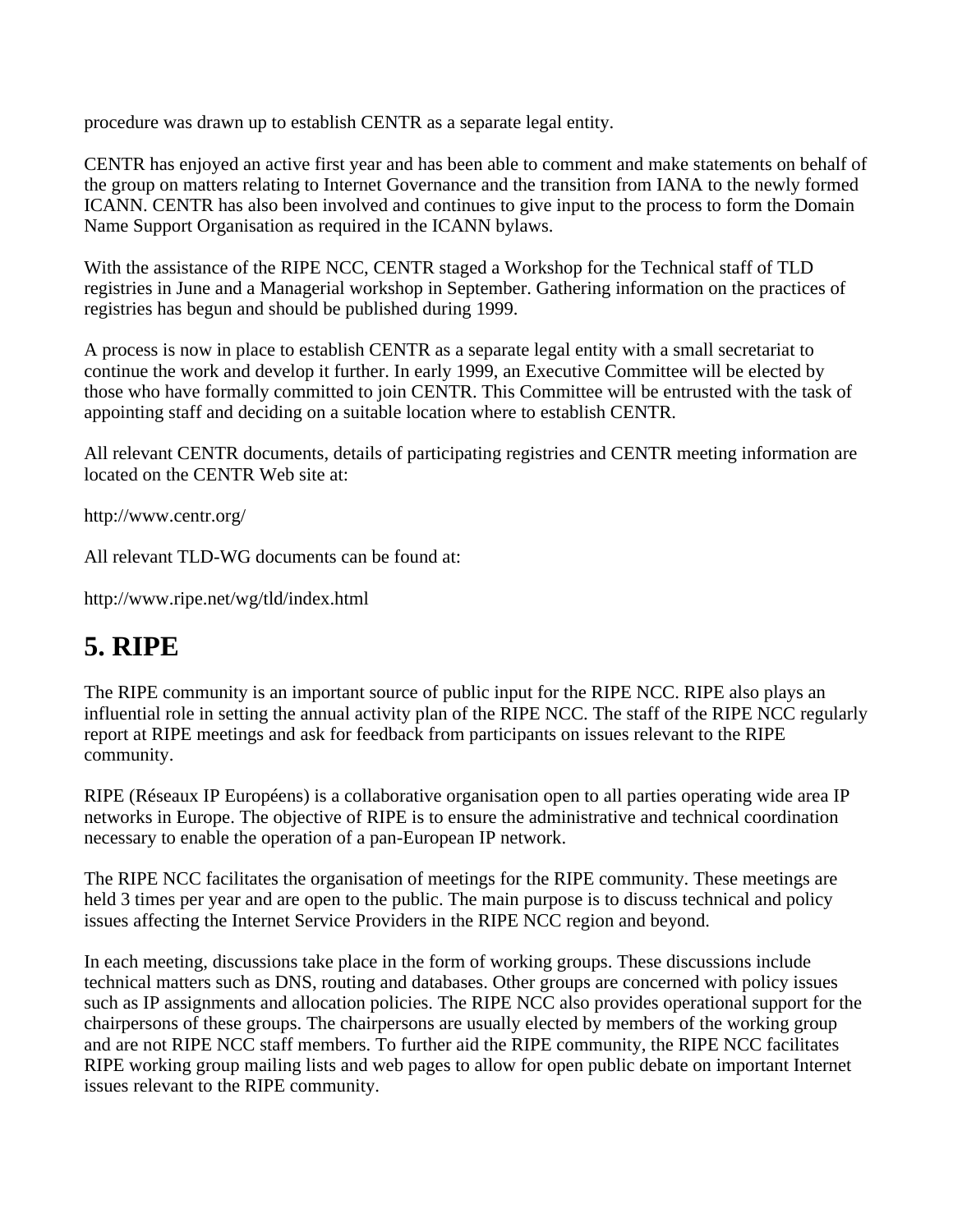procedure was drawn up to establish CENTR as a separate legal entity.

CENTR has enjoyed an active first year and has been able to comment and make statements on behalf of the group on matters relating to Internet Governance and the transition from IANA to the newly formed ICANN. CENTR has also been involved and continues to give input to the process to form the Domain Name Support Organisation as required in the ICANN bylaws.

With the assistance of the RIPE NCC, CENTR staged a Workshop for the Technical staff of TLD registries in June and a Managerial workshop in September. Gathering information on the practices of registries has begun and should be published during 1999.

A process is now in place to establish CENTR as a separate legal entity with a small secretariat to continue the work and develop it further. In early 1999, an Executive Committee will be elected by those who have formally committed to join CENTR. This Committee will be entrusted with the task of appointing staff and deciding on a suitable location where to establish CENTR.

All relevant CENTR documents, details of participating registries and CENTR meeting information are located on the CENTR Web site at:

http://www.centr.org/

All relevant TLD-WG documents can be found at:

http://www.ripe.net/wg/tld/index.html

### **5. RIPE**

The RIPE community is an important source of public input for the RIPE NCC. RIPE also plays an influential role in setting the annual activity plan of the RIPE NCC. The staff of the RIPE NCC regularly report at RIPE meetings and ask for feedback from participants on issues relevant to the RIPE community.

RIPE (Réseaux IP Européens) is a collaborative organisation open to all parties operating wide area IP networks in Europe. The objective of RIPE is to ensure the administrative and technical coordination necessary to enable the operation of a pan-European IP network.

The RIPE NCC facilitates the organisation of meetings for the RIPE community. These meetings are held 3 times per year and are open to the public. The main purpose is to discuss technical and policy issues affecting the Internet Service Providers in the RIPE NCC region and beyond.

In each meeting, discussions take place in the form of working groups. These discussions include technical matters such as DNS, routing and databases. Other groups are concerned with policy issues such as IP assignments and allocation policies. The RIPE NCC also provides operational support for the chairpersons of these groups. The chairpersons are usually elected by members of the working group and are not RIPE NCC staff members. To further aid the RIPE community, the RIPE NCC facilitates RIPE working group mailing lists and web pages to allow for open public debate on important Internet issues relevant to the RIPE community.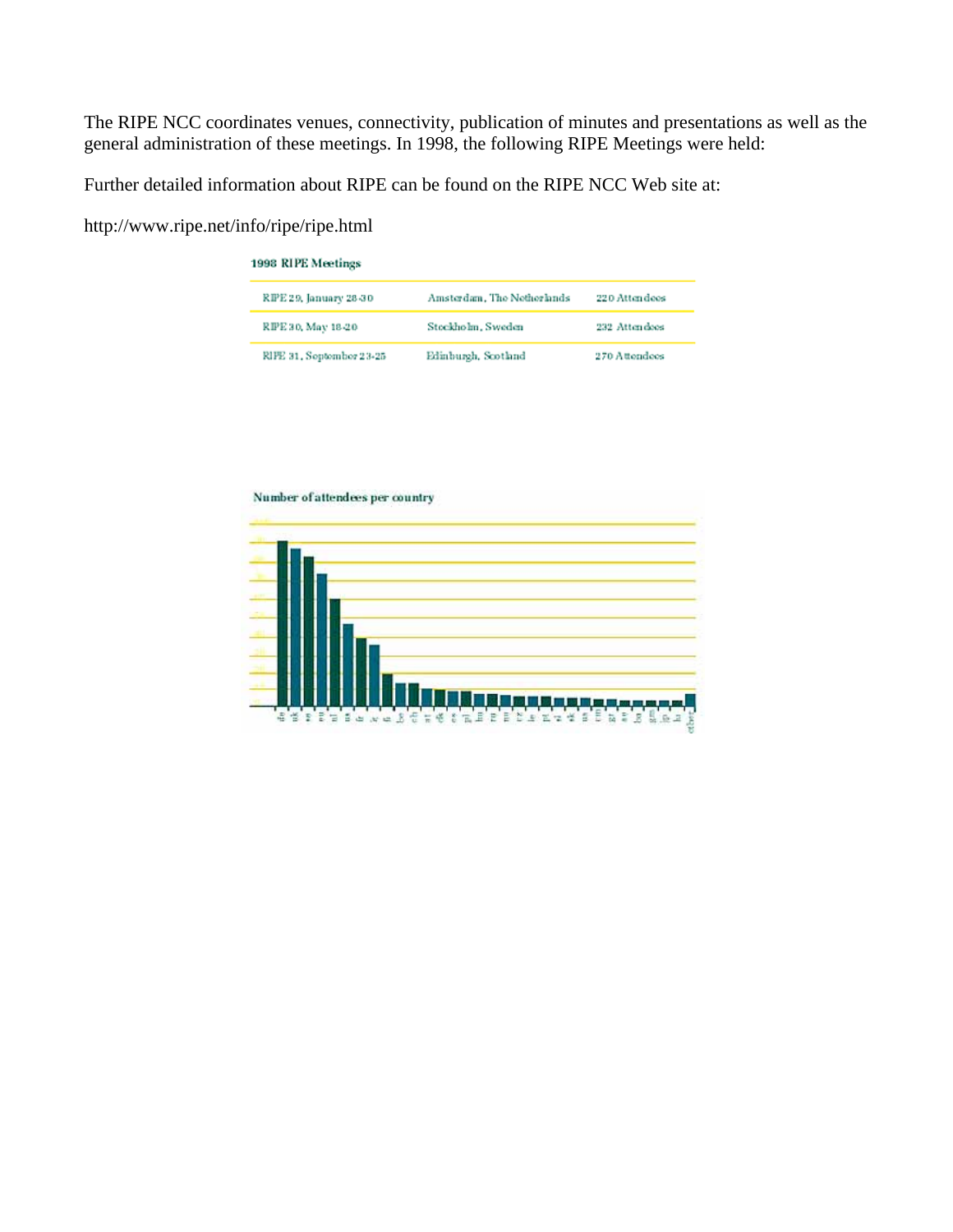The RIPE NCC coordinates venues, connectivity, publication of minutes and presentations as well as the general administration of these meetings. In 1998, the following RIPE Meetings were held:

Further detailed information about RIPE can be found on the RIPE NCC Web site at:

http://www.ripe.net/info/ripe/ripe.html

| 1998 RIPE Meetings          |                            |               |  |  |  |  |
|-----------------------------|----------------------------|---------------|--|--|--|--|
| <b>RPE29, January 28-30</b> | Amsterdam, The Netherlands | 220 Attendoos |  |  |  |  |
| RPE30, May 18-20            | Stockholm, Sweden          | 232 Attendees |  |  |  |  |
| RIFE 31, September 23-25    | Edinburgh, Scotland        | 270 Attendees |  |  |  |  |

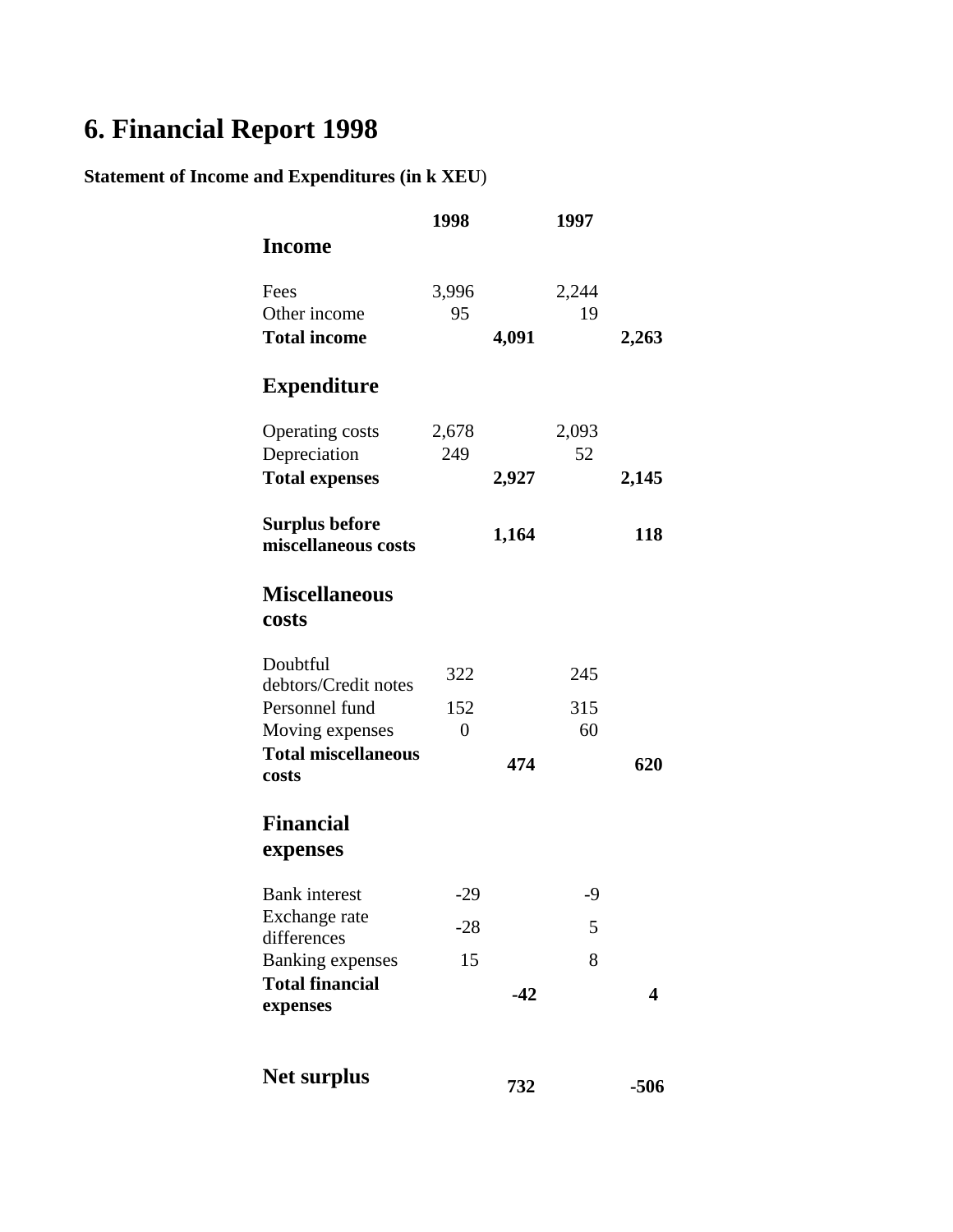# **6. Financial Report 1998**

### **Statement of Income and Expenditures (in k XEU**)

|                                              | 1998           |       | 1997  |            |
|----------------------------------------------|----------------|-------|-------|------------|
| <b>Income</b>                                |                |       |       |            |
| Fees                                         | 3,996          |       | 2,244 |            |
| Other income                                 | 95             |       | 19    |            |
| <b>Total income</b>                          |                | 4,091 |       | 2,263      |
| <b>Expenditure</b>                           |                |       |       |            |
| <b>Operating costs</b>                       | 2,678          |       | 2,093 |            |
| Depreciation                                 | 249            |       | 52    |            |
| <b>Total expenses</b>                        |                | 2,927 |       | 2,145      |
| <b>Surplus before</b><br>miscellaneous costs |                | 1,164 |       | <b>118</b> |
| <b>Miscellaneous</b><br>costs                |                |       |       |            |
| Doubtful<br>debtors/Credit notes             | 322            |       | 245   |            |
| Personnel fund                               | 152            |       | 315   |            |
| Moving expenses                              | $\overline{0}$ |       | 60    |            |
| <b>Total miscellaneous</b>                   |                |       |       |            |
| costs                                        |                | 474   |       | 620        |
| <b>Financial</b><br>expenses                 |                |       |       |            |
| <b>Bank</b> interest                         | $-29$          |       | $-9$  |            |
| Exchange rate<br>differences                 | $-28$          |       | 5     |            |
| <b>Banking expenses</b>                      | 15             |       | 8     |            |
| <b>Total financial</b><br>expenses           |                | $-42$ |       | 4          |
| <b>Net surplus</b>                           |                | 732   |       | -506       |